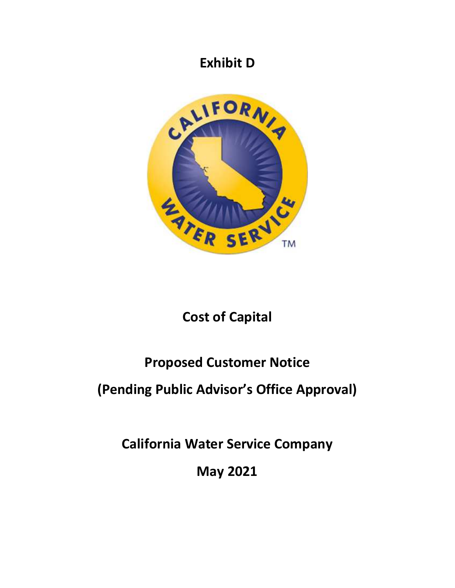## **Exhibit D**



# **Cost of Capital**

# **Proposed Customer Notice**

# **(Pending Public Advisor's Office Approval)**

**California Water Service Company** 

**May 2021**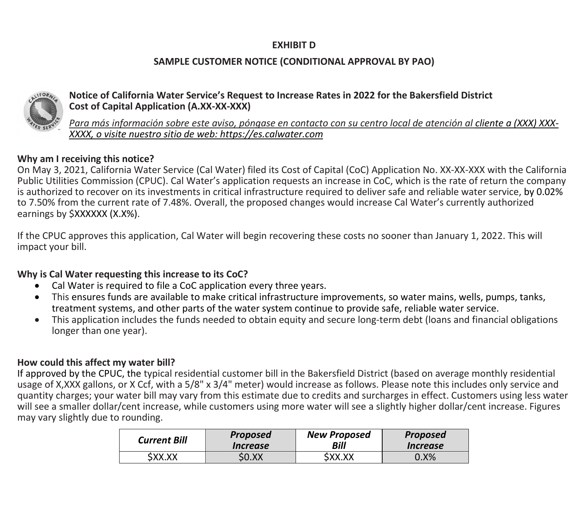### **EXHIBIT D**

### **SAMPLE CUSTOMER NOTICE (CONDITIONAL APPROVAL BY PAO)**



#### **Notice of California Water Service's Request to Increase Rates in 2022 for the Bakersfield District Cost of Capital Application (A.XX-XX-XXX)**

*Para más información sobre este aviso, póngase en contacto con su centro local de atención al cliente a (XXX) XXX-XXXX, o visite nuestro sitio de web: https://es.calwater.com*

### **Why am I receiving this notice?**

On May 3, 2021, California Water Service (Cal Water) filed its Cost of Capital (CoC) Application No. XX-XX-XXX with the California Public Utilities Commission (CPUC). Cal Water's application requests an increase in CoC, which is the rate of return the company is authorized to recover on its investments in critical infrastructure required to deliver safe and reliable water service, by 0.02% to 7.50% from the current rate of 7.48%. Overall, the proposed changes would increase Cal Water's currently authorized earnings by \$XXXXXX (X.X%).

If the CPUC approves this application, Cal Water will begin recovering these costs no sooner than January 1, 2022. This will impact your bill.

### **Why is Cal Water requesting this increase to its CoC?**

- Cal Water is required to file a CoC application every three years.
- This ensures funds are available to make critical infrastructure improvements, so water mains, wells, pumps, tanks, treatment systems, and other parts of the water system continue to provide safe, reliable water service.
- This application includes the funds needed to obtain equity and secure long-term debt (loans and financial obligations longer than one year).

### **How could this affect my water bill?**

If approved by the CPUC, the typical residential customer bill in the Bakersfield District (based on average monthly residential usage of X,XXX gallons, or X Ccf, with a 5/8" x 3/4" meter) would increase as follows. Please note this includes only service and quantity charges; your water bill may vary from this estimate due to credits and surcharges in effect. Customers using less water will see a smaller dollar/cent increase, while customers using more water will see a slightly higher dollar/cent increase. Figures may vary slightly due to rounding.

| <b>Current Bill</b> | <b>Proposed</b>        | <b>New Proposed</b> | <b>Proposed</b>               |
|---------------------|------------------------|---------------------|-------------------------------|
|                     | <i><b>Increase</b></i> | Bill                | <i><u><b>Increase</b></u></i> |
| \$XX.XX             | \$0.XX                 | SXX.XX              | 0.X%                          |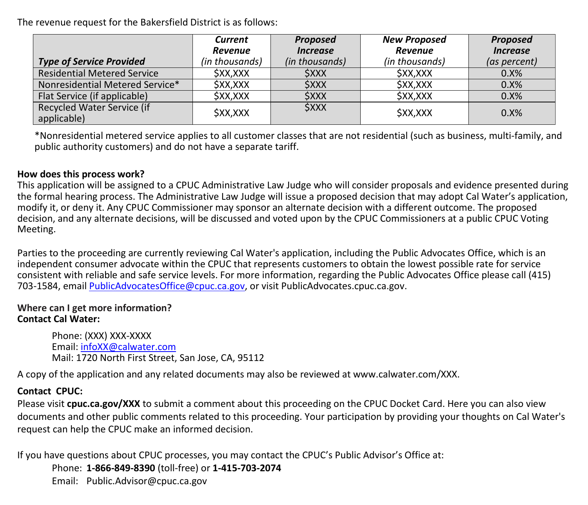The revenue request for the Bakersfield District is as follows:

|                                           | <b>Current</b>                | <b>Proposed</b>               | <b>New Proposed</b>           | <b>Proposed</b> |
|-------------------------------------------|-------------------------------|-------------------------------|-------------------------------|-----------------|
|                                           | <b>Revenue</b>                | <i><u><b>Increase</b></u></i> | Revenue                       | <b>Increase</b> |
| <b>Type of Service Provided</b>           | (in thousands)                | (in thousands)                | (in thousands)                | (as percent)    |
| <b>Residential Metered Service</b>        | <b>\$XX,XXX</b>               | <b>SXXX</b>                   | <b><i><u>\$XX,XXX</u></i></b> | 0.8%            |
| Nonresidential Metered Service*           | <b>\$XX,XXX</b>               | <b>SXXX</b>                   | <i><b>SXX,XXX</b></i>         | 0.8%            |
| Flat Service (if applicable)              | <b>\$XX,XXX</b>               | <b>SXXX</b>                   | <b><i>SXX,XXX</i></b>         | 0.8%            |
| Recycled Water Service (if<br>applicable) | <b><i><u>\$XX,XXX</u></i></b> | <b><i><u>SXXX</u></i></b>     | <b><i>SXX,XXX</i></b>         | $0.8\%$         |

\*Nonresidential metered service applies to all customer classes that are not residential (such as business, multi-family, and public authority customers) and do not have a separate tariff.

#### **How does this process work?**

This application will be assigned to a CPUC Administrative Law Judge who will consider proposals and evidence presented during the formal hearing process. The Administrative Law Judge will issue a proposed decision that may adopt Cal Water's application, modify it, or deny it. Any CPUC Commissioner may sponsor an alternate decision with a different outcome. The proposed decision, and any alternate decisions, will be discussed and voted upon by the CPUC Commissioners at a public CPUC Voting Meeting.

Parties to the proceeding are currently reviewing Cal Water's application, including the Public Advocates Office, which is an independent consumer advocate within the CPUC that represents customers to obtain the lowest possible rate for service consistent with reliable and safe service levels. For more information, regarding the Public Advocates Office please call (415) 703-1584, email PublicAdvocatesOffice@cpuc.ca.gov, or visit PublicAdvocates.cpuc.ca.gov.

#### **Where can I get more information? Contact Cal Water:**

Phone: (XXX) XXX-XXXX Email: infoXX@calwater.com Mail: 1720 North First Street, San Jose, CA, 95112

A copy of the application and any related documents may also be reviewed at www.calwater.com/XXX.

### **Contact CPUC:**

Please visit **cpuc.ca.gov/XXX** to submit a comment about this proceeding on the CPUC Docket Card. Here you can also view documents and other public comments related to this proceeding. Your participation by providing your thoughts on Cal Water's request can help the CPUC make an informed decision.

If you have questions about CPUC processes, you may contact the CPUC's Public Advisor's Office at: Phone: **1-866-849-8390** (toll-free) or **1-415-703-2074** Email: Public.Advisor@cpuc.ca.gov